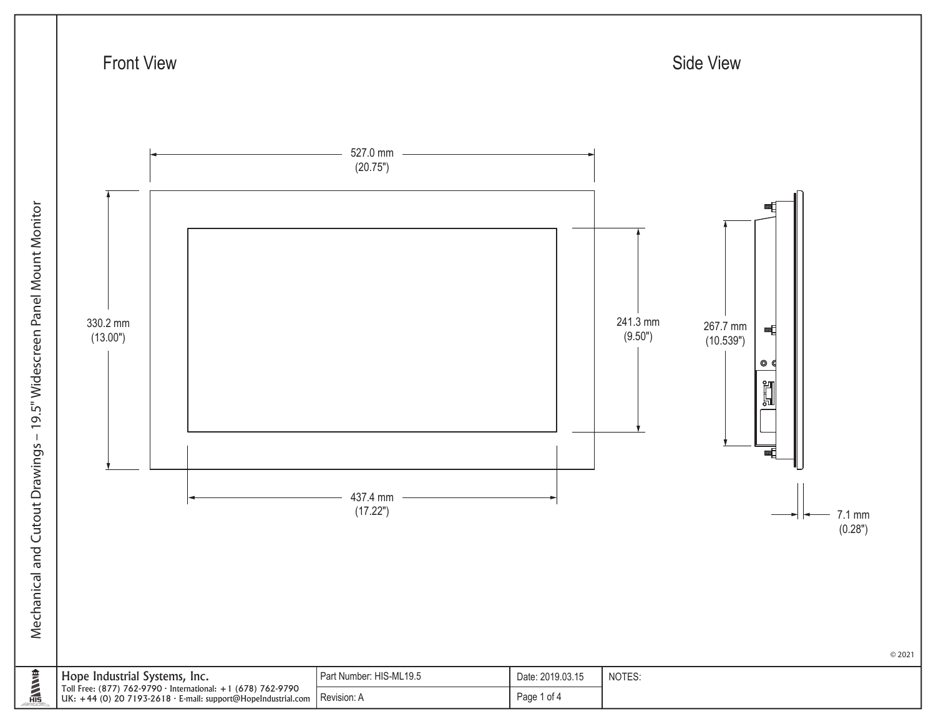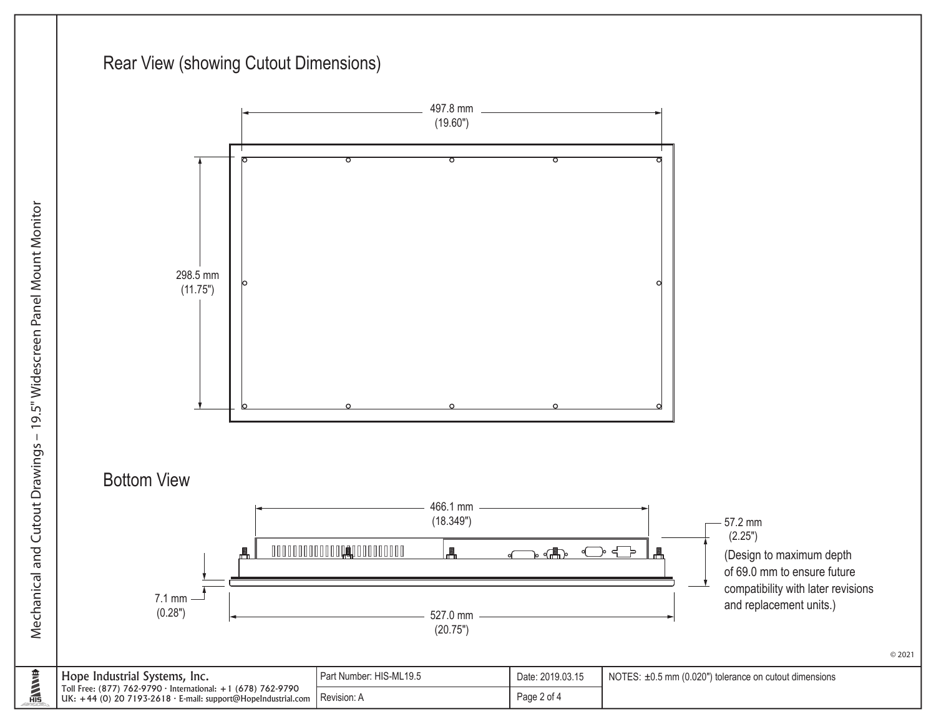## Rear View (showing Cutout Dimensions)



© 2021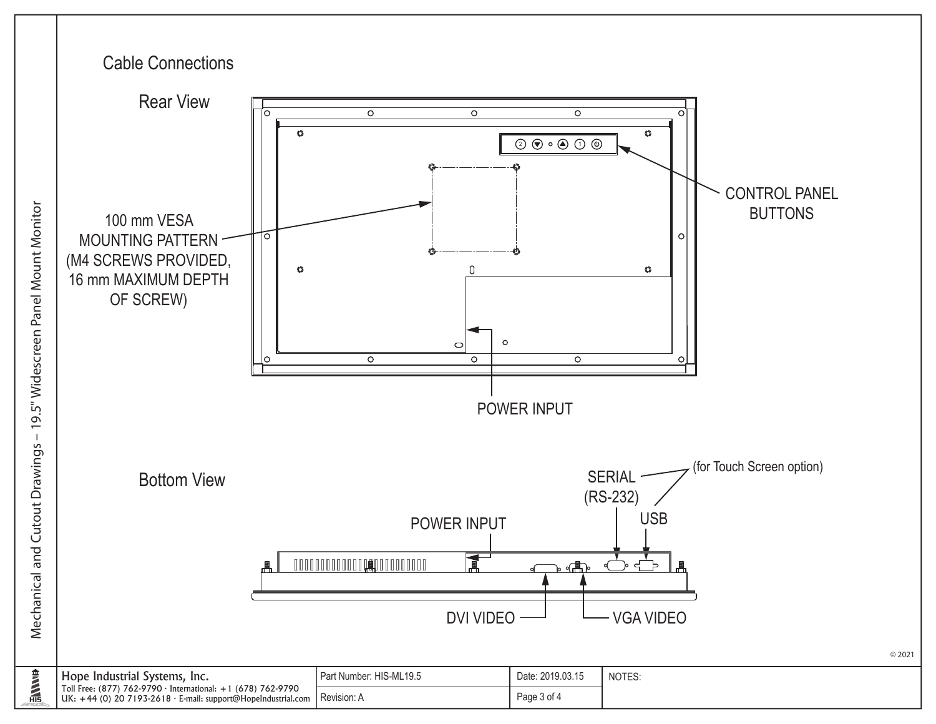